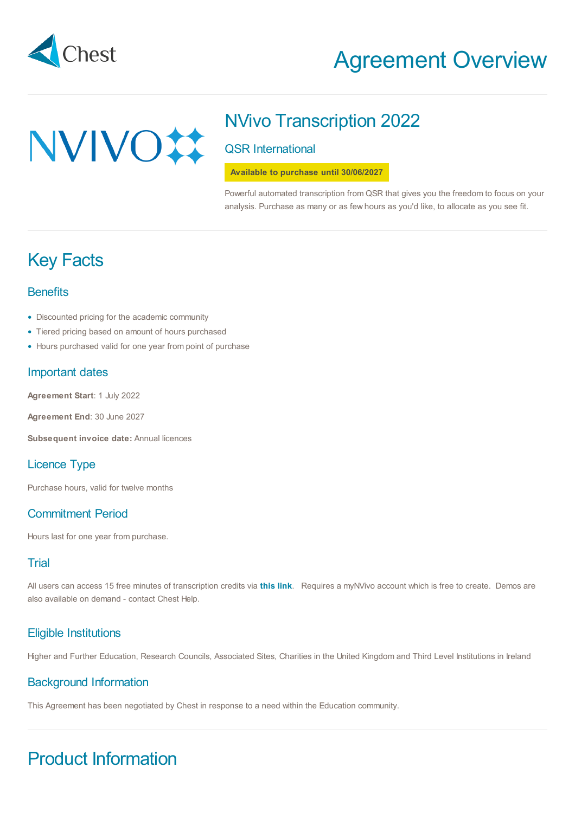

# Agreement Overview

# NVIVO#

# NVivo Transcription 2022

QSR International

**Available to purchase until 30/06/2027**

Powerful automated transcription from QSR that gives you the freedom to focus on your analysis. Purchase as many or as few hours as you'd like, to allocate as you see fit.

# Key Facts

# **Benefits**

- Discounted pricing for the academic community
- Tiered pricing based on amount of hours purchased
- Hours purchased valid for one year from point of purchase

# Important dates

**Agreement Start**: 1 July 2022

**Agreement End**: 30 June 2027

**Subsequent invoice date:** Annual licences

# Licence Type

Purchase hours, valid for twelve months

# Commitment Period

Hours last for one year from purchase.

# **Trial**

All users can access 15 free minutes of transcription credits via **[this](https://www.qsrinternational.com/nvivo-qualitative-data-analysis-software/try-nvivo) link**. Requires a myNVivo account which is free to create. Demos are also available on demand - contact Chest Help.

# Eligible Institutions

Higher and Further Education, Research Councils, Associated Sites, Charities in the United Kingdom and Third Level Institutions in Ireland

## Background Information

This Agreement has been negotiated by Chest in response to a need within the Education community.

# Product Information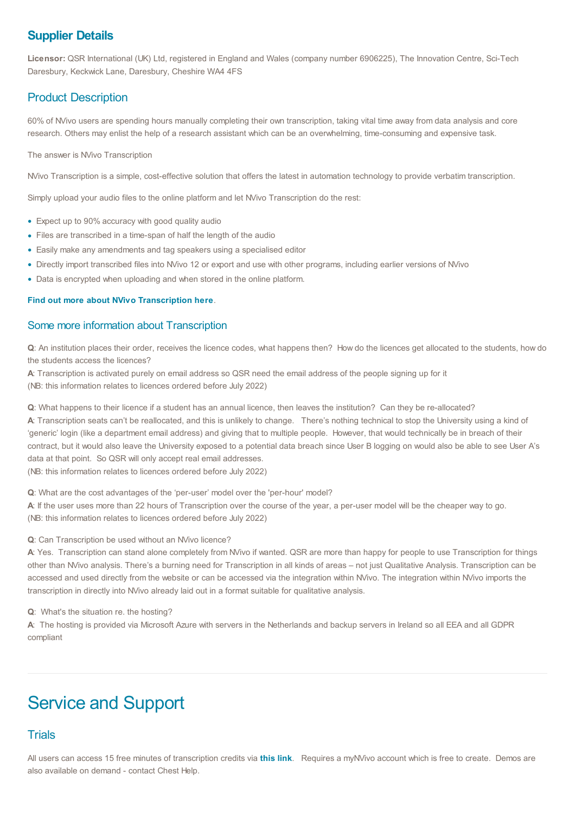# **Supplier Details**

**Licensor:** QSR International (UK) Ltd, registered in England and Wales (company number 6906225), The Innovation Centre, Sci-Tech Daresbury, Keckwick Lane, Daresbury, Cheshire WA4 4FS

# Product Description

60% of NVivo users are spending hours manually completing their own transcription, taking vital time away from data analysis and core research. Others may enlist the help of a research assistant which can be an overwhelming, time-consuming and expensive task.

#### The answer is NVivo Transcription

NVivo Transcription is a simple, cost-effective solution that offers the latest in automation technology to provide verbatim transcription.

Simply upload your audio files to the online platform and let NVivo Transcription do the rest:

- Expect up to 90% accuracy with good quality audio •
- Files are transcribed in a time-span of half the length of the audio
- Easily make any amendments and tag speakers using a specialised editor •
- Directly import transcribed files into NVivo 12 or export and use with other programs, including earlier versions of NVivo •
- Data is encrypted when uploading and when stored in the online platform. •

#### **Find out more about NVivo [Transcription](https://www.qsrinternational.com/nvivo-qualitative-data-analysis-software/about/nvivo/modules/transcription) here**.

#### Some more information about Transcription

**Q**: An institution places their order, receives the licence codes, what happens then? How do the licences get allocated to the students, how do the students access the licences?

**A**: Transcription is activated purely on email address so QSR need the email address of the people signing up for it (NB: this information relates to licences ordered before July 2022)

**Q**: What happens to their licence if a student has an annual licence, then leaves the institution? Can they be re-allocated?

**A**: Transcription seats can't be reallocated, and this is unlikely to change. There's nothing technical to stop the University using a kind of 'generic' login (like a department email address) and giving that to multiple people. However, that would technically be in breach of their contract, but it would also leave the University exposed to a potential data breach since User B logging on would also be able to see User A's data at that point. So QSR will only accept real email addresses.

(NB: this information relates to licences ordered before July 2022)

**Q**: What are the cost advantages of the 'per-user' model over the 'per-hour' model?

**A**: If the user uses more than 22 hours of Transcription over the course of the year, a per-user model will be the cheaper way to go. (NB: this information relates to licences ordered before July 2022)

#### **Q**: Can Transcription be used without an NVivo licence?

**A**: Yes. Transcription can stand alone completely from NVivo if wanted. QSR are more than happy for people to use Transcription for things other than NVivo analysis. There's a burning need for Transcription in all kinds of areas – not just Qualitative Analysis. Transcription can be accessed and used directly from the website or can be accessed via the integration within NVivo. The integration within NVivo imports the transcription in directly into NVivo already laid out in a format suitable for qualitative analysis.

**Q**: What's the situation re. the hosting?

**A**: The hosting is provided via Microsoft Azure with servers in the Netherlands and backup servers in Ireland so all EEA and all GDPR compliant

# Service and Support

## **Trials**

All users can access 15 free minutes of transcription credits via **[this](https://www.qsrinternational.com/nvivo-qualitative-data-analysis-software/try-nvivo) link**. Requires a myNVivo account which is free to create. Demos are also available on demand - contact Chest Help.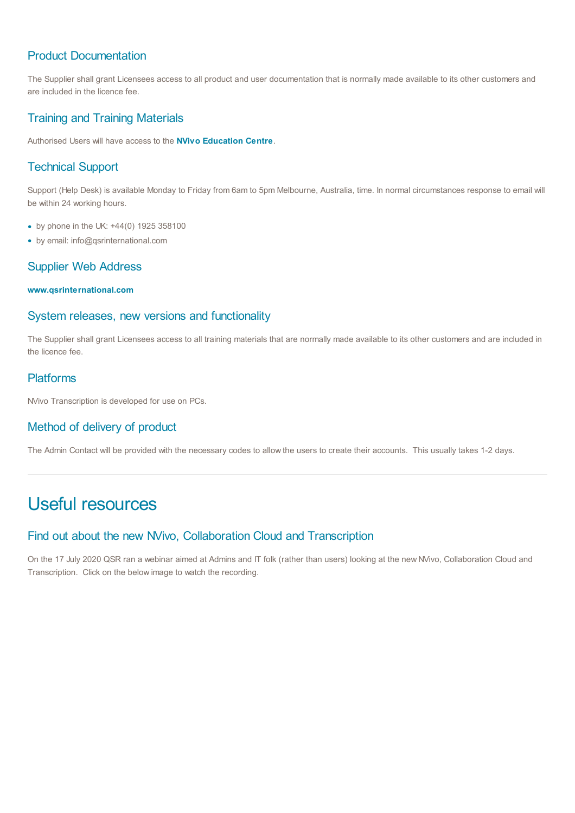# Product Documentation

The Supplier shall grant Licensees access to all product and user documentation that is normally made available to its other customers and are included in the licence fee.

# Training and Training Materials

Authorised Users will have access to the **NVivo [Education](https://www.qsrinternational.com/nvivo-qualitative-data-analysis-software/support-services/customer-hub) Centre**.

# Technical Support

Support (Help Desk) is available Monday to Friday from 6am to 5pm Melbourne, Australia, time. In normal circumstances response to email will be within 24 working hours.

- by phone in the UK: +44(0) 1925 358100
- by email: info@qsrinternational.com

# Supplier Web Address

#### **[www.qsrinternational.com](https://www.qsrinternational.com/nvivo/home?utm_source=Chest&utm_medium=Chest%20website&utm_campaign=EMEA%20April2018%20Chest&utm_term=-&utm_content=-)**

## System releases, new versions and functionality

The Supplier shall grant Licensees access to all training materials that are normally made available to its other customers and are included in the licence fee.

## Platforms

NVivo Transcription is developed for use on PCs.

# Method of delivery of product

The Admin Contact will be provided with the necessary codes to allow the users to create their accounts. This usually takes 1-2 days.

# Useful resources

## Find out about the new NVivo, Collaboration Cloud and Transcription

On the 17 July 2020 QSR ran a webinar aimed at Admins and IT folk (rather than users) looking at the new NVivo, Collaboration Cloud and Transcription. Click on the below image to watch the recording.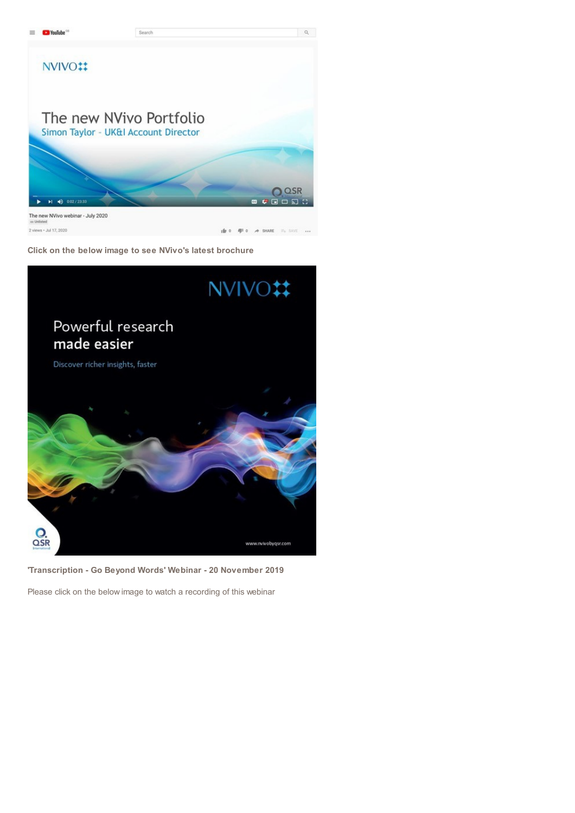

**Click on the below image to see NVivo's latest brochure**



**'Transcription - Go Beyond Words' Webinar - 20 November 2019**

Please click on the below image to watch a recording of this webinar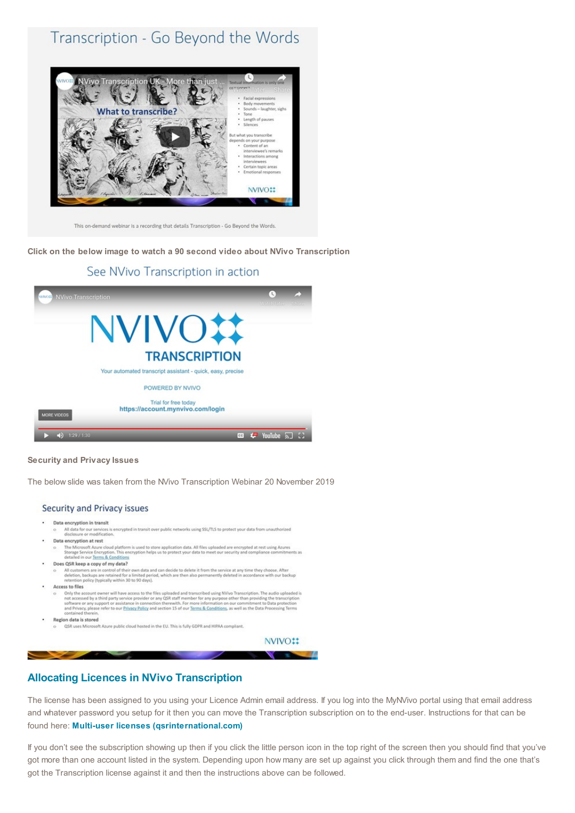# Transcription - Go Beyond the Words



This on-demand webinar is a recording that details Transcription - Go Beyond the Words.

**Click on the below image to watch a 90 second video about NVivo Transcription**



#### **Security and Privacy Issues**

The below slide was taken from the NVivo Transcription Webinar 20 November 2019

#### Security and Privacy issues

#### Data encryption in transit

- .<br>es is encrypted in transit over public networks using SSL/TLS to protect your data from unauth All data for our s
- Data encryption at rest
- The Microsoft Azure<br>Storage Service Encryption. This encryption helps us to protect your data IM files uploaded are encrypted at rest using Azures<br>Storage Service Encryption. This encryption helps us to protect your data t
- Does QSR keep a copy of my data?
	- All customers are in control of their own data and can decide to delete it from the service at any time they choose. After<br>deletion, backups are retained for a limited period, which are then also permanently deleted in acc
- Access to files

sea to mes<br>Only the account owner will have access to the files uploaded and transcribed using NVivo Transcription. The audio uploaded is<br>not accessed by a third party service provider or any QSR staff member for any purpo

- Region data is stored
	- QSR uses Micr soft Azure public cloud hosted in the EU. This is fully GDPR and HIPAA compliant.

NVIVO:

#### **Allocating Licences in NVivo Transcription**

The license has been assigned to you using your Licence Admin email address. If you log into the MyNVivo portal using that email address and whatever password you setup for it then you can move the Transcription subscription on to the end-user. Instructions for that can be found here: **Multi-user licenses [\(qsrinternational.com\)](https://help-nv.qsrinternational.com/20/win/Content/about-nvivo/multiseat-license.htm)**

If you don't see the subscription showing up then if you click the little person icon in the top right of the screen then you should find that you've got more than one account listed in the system. Depending upon how many are set up against you click through them and find the one that's got the Transcription license against it and then the instructions above can be followed.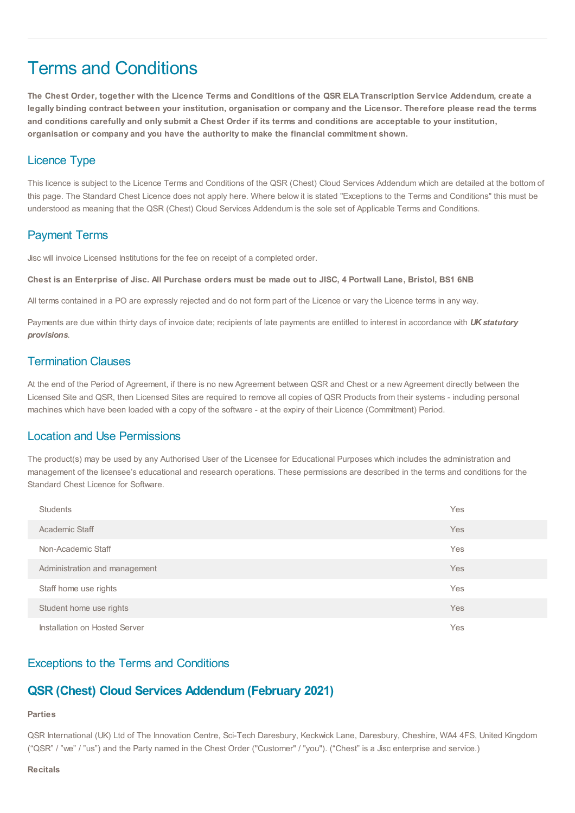# Terms and Conditions

The Chest Order, together with the Licence Terms and Conditions of the QSR ELA Transcription Service Addendum, create a legally binding contract between your institution, organisation or company and the Licensor. Therefore please read the terms and conditions carefully and only submit a Chest Order if its terms and conditions are acceptable to your institution, **organisation or company and you have the authority to make the financial commitment shown.**

# Licence Type

This licence is subject to the Licence Terms and Conditions of the QSR (Chest) Cloud Services Addendum which are detailed at the bottom of this page. The Standard Chest Licence does not apply here. Where below it is stated "Exceptions to the Terms and Conditions" this must be understood as meaning that the QSR (Chest) Cloud Services Addendum is the sole set of Applicable Terms and Conditions.

# Payment Terms

Jisc will invoice Licensed Institutions for the fee on receipt of a completed order.

Chest is an Enterprise of Jisc. All Purchase orders must be made out to JISC, 4 Portwall Lane, Bristol, BS1 6NB

All terms contained in a PO are expressly rejected and do not form part of the Licence or vary the Licence terms in any way.

Payments are due within thirty days of invoice date; recipients of late payments are entitled to interest in accordance with *UK statutory provisions*.

## Termination Clauses

At the end of the Period of Agreement, if there is no new Agreement between QSR and Chest or a new Agreement directly between the Licensed Site and QSR, then Licensed Sites are required to remove all copies of QSR Products from their systems - including personal machines which have been loaded with a copy of the software - at the expiry of their Licence (Commitment) Period.

## Location and Use Permissions

The product(s) may be used by any Authorised User of the Licensee for Educational Purposes which includes the administration and management of the licensee's educational and research operations. These permissions are described in the terms and conditions for the Standard Chest Licence for Software.

| <b>Students</b>               | Yes |
|-------------------------------|-----|
| Academic Staff                | Yes |
| Non-Academic Staff            | Yes |
| Administration and management | Yes |
| Staff home use rights         | Yes |
| Student home use rights       | Yes |
| Installation on Hosted Server | Yes |

# Exceptions to the Terms and Conditions

# **QSR (Chest) Cloud Services Addendum (February 2021)**

#### **Parties**

QSR International (UK) Ltd of The Innovation Centre, Sci-Tech Daresbury, Keckwick Lane, Daresbury, Cheshire, WA4 4FS, United Kingdom ("QSR" / "we" / "us") and the Party named in the Chest Order ("Customer" / "you"). ("Chest" is a Jisc enterprise and service.)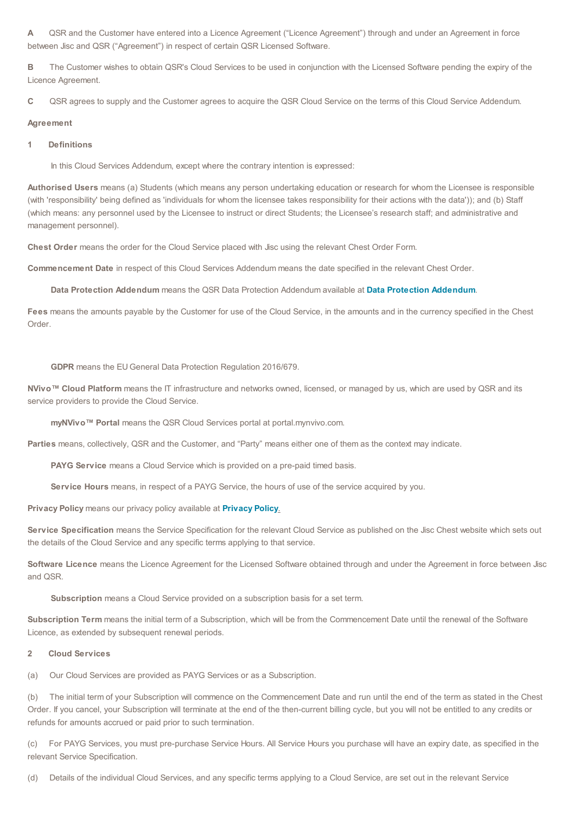**A** QSR and the Customer have entered into a Licence Agreement ("Licence Agreement") through and under an Agreement in force between Jisc and QSR ("Agreement") in respect of certain QSR Licensed Software.

**B** The Customer wishes to obtain QSR's Cloud Services to be used in conjunction with the Licensed Software pending the expiry of the Licence Agreement.

**C** QSR agrees to supply and the Customer agrees to acquire the QSR Cloud Service on the terms of this Cloud Service Addendum.

#### **Agreement**

#### **1 Definitions**

In this Cloud Services Addendum, except where the contrary intention is expressed:

**Authorised Users** means (a) Students (which means any person undertaking education or research for whom the Licensee is responsible (with 'responsibility' being defined as 'individuals for whom the licensee takes responsibility for their actions with the data')); and (b) Staff (which means: any personnel used by the Licensee to instruct or direct Students; the Licensee's research staff; and administrative and management personnel).

**Chest Order** means the order for the Cloud Service placed with Jisc using the relevant Chest Order Form.

**Commencement Date** in respect of this Cloud Services Addendum means the date specified in the relevant Chest Order.

**Data Protection Addendum** means the QSR Data Protection Addendum available at **Data Protection [Addendum](https://www.qsrinternational.com/legal-and-compliance/Data-Protection-Addendum)**.

**Fees** means the amounts payable by the Customer for use of the Cloud Service, in the amounts and in the currency specified in the Chest Order.

#### **GDPR** means the EUGeneral Data Protection Regulation 2016/679.

**NVivo™ Cloud Platform** means the IT infrastructure and networks owned, licensed, or managed by us, which are used by QSR and its service providers to provide the Cloud Service.

**myNVivo™ Portal** means the QSR Cloud Services portal at portal.mynvivo.com.

**Parties** means, collectively, QSR and the Customer, and "Party" means either one of them as the context may indicate.

**PAYG Service** means a Cloud Service which is provided on a pre-paid timed basis.

**Service Hours** means, in respect of a PAYG Service, the hours of use of the service acquired by you.

**Privacy Policy** means our privacy policy available at **[Privacy](https://www.qsrinternational.com/legal-and-compliance/privacy-policy) Policy**.

**Service Specification** means the Service Specification for the relevant Cloud Service as published on the Jisc Chest website which sets out the details of the Cloud Service and any specific terms applying to that service.

**Software Licence** means the Licence Agreement for the Licensed Software obtained through and under the Agreement in force between Jisc and QSR.

**Subscription** means a Cloud Service provided on a subscription basis for a set term.

**Subscription Term** means the initial term of a Subscription, which will be from the Commencement Date until the renewal of the Software Licence, as extended by subsequent renewal periods.

#### **2 Cloud Services**

(a) Our Cloud Services are provided as PAYG Services or as a Subscription.

(b) The initial term of your Subscription will commence on the Commencement Date and run until the end of the term as stated in the Chest Order. If you cancel, your Subscription will terminate at the end of the then-current billing cycle, but you will not be entitled to any credits or refunds for amounts accrued or paid prior to such termination.

(c) For PAYG Services, you must pre-purchase Service Hours. All Service Hours you purchase will have an expiry date, as specified in the relevant Service Specification.

(d) Details of the individual Cloud Services, and any specific terms applying to a Cloud Service, are set out in the relevant Service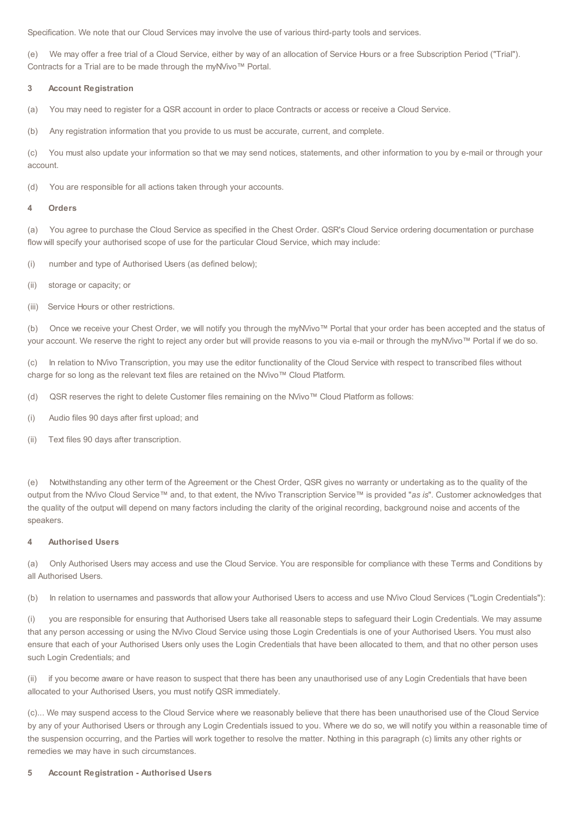Specification. We note that our Cloud Services may involve the use of various third-party tools and services.

(e) We may offer a free trial of a Cloud Service, either by way of an allocation of Service Hours or a free Subscription Period ("Trial"). Contracts for a Trial are to be made through the myNVivo™ Portal.

#### **3 Account Registration**

(a) You may need to register for a QSR account in order to place Contracts or access or receive a Cloud Service.

(b) Any registration information that you provide to us must be accurate, current, and complete.

(c) You must also update your information so that we may send notices, statements, and other information to you by e-mail or through your account.

(d) You are responsible for all actions taken through your accounts.

#### **4 Orders**

(a) You agree to purchase the Cloud Service as specified in the Chest Order. QSR's Cloud Service ordering documentation or purchase flow will specify your authorised scope of use for the particular Cloud Service, which may include:

(i) number and type of Authorised Users (as defined below);

- (ii) storage or capacity; or
- (iii) Service Hours or other restrictions.

(b) Once we receive your Chest Order, we will notify you through the myNVivo™ Portal that your order has been accepted and the status of your account. We reserve the right to reject any order but will provide reasons to you via e-mail or through the myNVivo™ Portal if we do so.

In relation to NVivo Transcription, you may use the editor functionality of the Cloud Service with respect to transcribed files without charge for so long as the relevant text files are retained on the NVivo™ Cloud Platform.

(d) QSR reserves the right to delete Customer files remaining on the NVivo™ Cloud Platform as follows:

(i) Audio files 90 days after first upload; and

(ii) Text files 90 days after transcription.

(e) Notwithstanding any other term of the Agreement or the Chest Order, QSR gives no warranty or undertaking as to the quality of the output from the NVivo Cloud Service™ and, to that extent, the NVivo Transcription Service™ is provided "*as is*". Customer acknowledges that the quality of the output will depend on many factors including the clarity of the original recording, background noise and accents of the speakers.

#### **4 Authorised Users**

(a) Only Authorised Users may access and use the Cloud Service. You are responsible for compliance with these Terms and Conditions by all Authorised Users.

(b) In relation to usernames and passwords that allow your Authorised Users to access and use NVivo Cloud Services ("Login Credentials"):

(i) you are responsible for ensuring that Authorised Users take all reasonable steps to safeguard their Login Credentials. We may assume that any person accessing or using the NVivo Cloud Service using those Login Credentials is one of your Authorised Users. You must also ensure that each of your Authorised Users only uses the Login Credentials that have been allocated to them, and that no other person uses such Login Credentials; and

(ii) if you become aware or have reason to suspect that there has been any unauthorised use of any Login Credentials that have been allocated to your Authorised Users, you must notify QSR immediately.

(c)... We may suspend access to the Cloud Service where we reasonably believe that there has been unauthorised use of the Cloud Service by any of your Authorised Users or through any Login Credentials issued to you. Where we do so, we will notify you within a reasonable time of the suspension occurring, and the Parties will work together to resolve the matter. Nothing in this paragraph (c) limits any other rights or remedies we may have in such circumstances.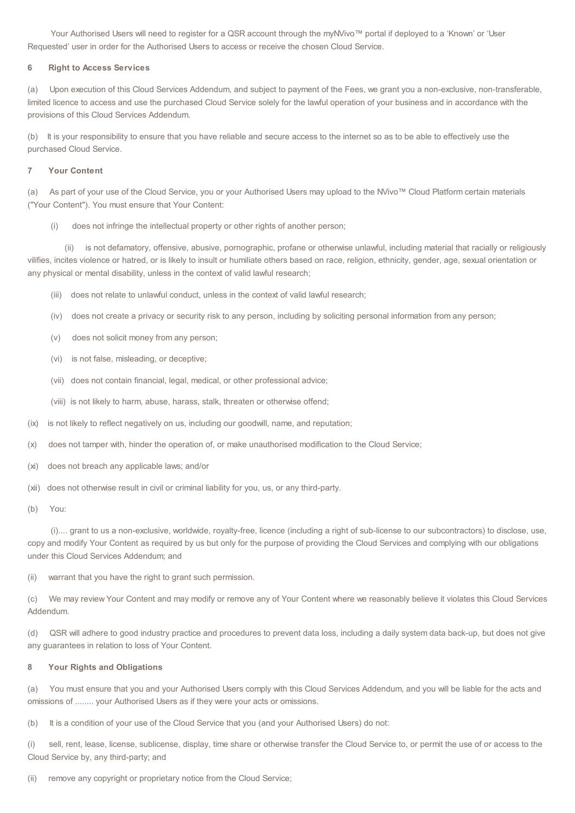Your Authorised Users will need to register for a QSR account through the myNVivo™ portal if deployed to a 'Known' or 'User Requested' user in order for the Authorised Users to access or receive the chosen Cloud Service.

#### **6 Right to Access Services**

(a) Upon execution of this Cloud Services Addendum, and subject to payment of the Fees, we grant you a non-exclusive, non-transferable, limited licence to access and use the purchased Cloud Service solely for the lawful operation of your business and in accordance with the provisions of this Cloud Services Addendum.

(b) It is your responsibility to ensure that you have reliable and secure access to the internet so as to be able to effectively use the purchased Cloud Service.

#### **7 Your Content**

(a) As part of your use of the Cloud Service, you or your Authorised Users may upload to the NVivo™ Cloud Platform certain materials ("Your Content"). You must ensure that Your Content:

(i) does not infringe the intellectual property or other rights of another person;

(ii) is not defamatory, offensive, abusive, pornographic, profane or otherwise unlawful, including material that racially or religiously vilifies, incites violence or hatred, or is likely to insult or humiliate others based on race, religion, ethnicity, gender, age, sexual orientation or any physical or mental disability, unless in the context of valid lawful research;

- (iii) does not relate to unlawful conduct, unless in the context of valid lawful research;
- (iv) does not create a privacy or security risk to any person, including by soliciting personal information from any person;
- (v) does not solicit money from any person;
- (vi) is not false, misleading, or deceptive;
- (vii) does not contain financial, legal, medical, or other professional advice;
- (viii) is not likely to harm, abuse, harass, stalk, threaten or otherwise offend;
- (ix) is not likely to reflect negatively on us, including our goodwill, name, and reputation;
- (x) does not tamper with, hinder the operation of, or make unauthorised modification to the Cloud Service;
- (xi) does not breach any applicable laws; and/or
- (xii) does not otherwise result in civil or criminal liability for you, us, or any third-party.
- (b) You:

(i).... grant to us a non-exclusive, worldwide, royalty-free, licence (including a right of sub-license to our subcontractors) to disclose, use, copy and modify Your Content as required by us but only for the purpose of providing the Cloud Services and complying with our obligations under this Cloud Services Addendum; and

(ii) warrant that you have the right to grant such permission.

(c) We may review Your Content and may modify or remove any of Your Content where we reasonably believe it violates this Cloud Services Addendum.

(d) QSR will adhere to good industry practice and procedures to prevent data loss, including a daily system data back-up, but does not give any guarantees in relation to loss of Your Content.

#### **8 Your Rights and Obligations**

(a) You must ensure that you and your Authorised Users comply with this Cloud Services Addendum, and you will be liable for the acts and omissions of ........ your Authorised Users as if they were your acts or omissions.

(b) It is a condition of your use of the Cloud Service that you (and your Authorised Users) do not:

(i) sell, rent, lease, license, sublicense, display, time share or otherwise transfer the Cloud Service to, or permit the use of or access to the Cloud Service by, any third-party; and

(ii) remove any copyright or proprietary notice from the Cloud Service;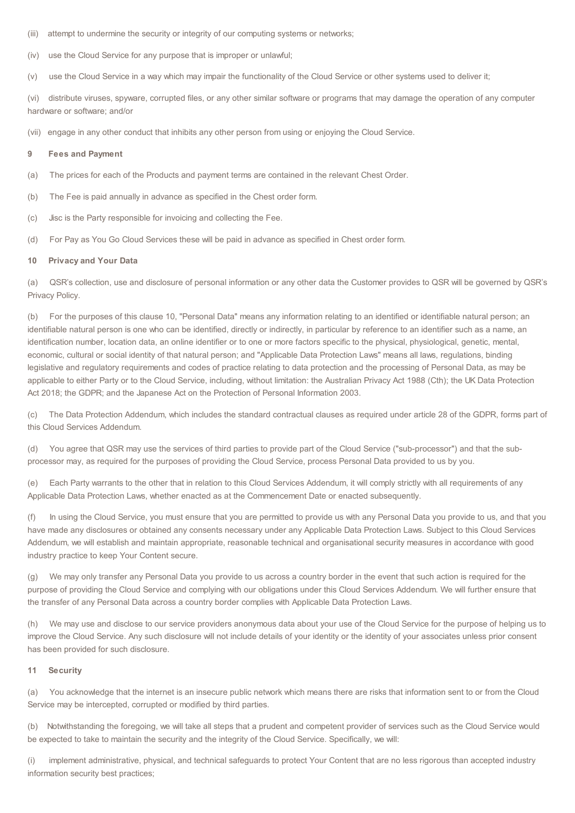- (iii) attempt to undermine the security or integrity of our computing systems or networks;
- (iv) use the Cloud Service for any purpose that is improper or unlawful;
- (v) use the Cloud Service in a way which may impair the functionality of the Cloud Service or other systems used to deliver it;

(vi) distribute viruses, spyware, corrupted files, or any other similar software or programs that may damage the operation of any computer hardware or software; and/or

(vii) engage in any other conduct that inhibits any other person from using or enjoying the Cloud Service.

#### **9 Fees and Payment**

- (a) The prices for each of the Products and payment terms are contained in the relevant Chest Order.
- (b) The Fee is paid annually in advance as specified in the Chest order form.
- (c) Jisc is the Party responsible for invoicing and collecting the Fee.
- (d) For Pay as You Go Cloud Services these will be paid in advance as specified in Chest order form.

#### **10 Privacy and Your Data**

(a) QSR's collection, use and disclosure of personal information or any other data the Customer provides to QSR will be governed by QSR's Privacy Policy.

(b) For the purposes of this clause 10, "Personal Data" means any information relating to an identified or identifiable natural person; an identifiable natural person is one who can be identified, directly or indirectly, in particular by reference to an identifier such as a name, an identification number, location data, an online identifier or to one or more factors specific to the physical, physiological, genetic, mental, economic, cultural or social identity of that natural person; and "Applicable Data Protection Laws" means all laws, regulations, binding legislative and regulatory requirements and codes of practice relating to data protection and the processing of Personal Data, as may be applicable to either Party or to the Cloud Service, including, without limitation: the Australian Privacy Act 1988 (Cth); the UK Data Protection Act 2018; the GDPR; and the Japanese Act on the Protection of Personal Information 2003.

(c) The Data Protection Addendum, which includes the standard contractual clauses as required under article 28 of the GDPR, forms part of this Cloud Services Addendum.

(d) You agree that QSR may use the services of third parties to provide part of the Cloud Service ("sub-processor") and that the subprocessor may, as required for the purposes of providing the Cloud Service, process Personal Data provided to us by you.

(e) Each Party warrants to the other that in relation to this Cloud Services Addendum, it will comply strictly with all requirements of any Applicable Data Protection Laws, whether enacted as at the Commencement Date or enacted subsequently.

(f) In using the Cloud Service, you must ensure that you are permitted to provide us with any Personal Data you provide to us, and that you have made any disclosures or obtained any consents necessary under any Applicable Data Protection Laws. Subject to this Cloud Services Addendum, we will establish and maintain appropriate, reasonable technical and organisational security measures in accordance with good industry practice to keep Your Content secure.

(g) We may only transfer any Personal Data you provide to us across a country border in the event that such action is required for the purpose of providing the Cloud Service and complying with our obligations under this Cloud Services Addendum. We will further ensure that the transfer of any Personal Data across a country border complies with Applicable Data Protection Laws.

(h) We may use and disclose to our service providers anonymous data about your use of the Cloud Service for the purpose of helping us to improve the Cloud Service. Any such disclosure will not include details of your identity or the identity of your associates unless prior consent has been provided for such disclosure.

#### **11 Security**

(a) You acknowledge that the internet is an insecure public network which means there are risks that information sent to or from the Cloud Service may be intercepted, corrupted or modified by third parties.

(b) Notwithstanding the foregoing, we will take all steps that a prudent and competent provider of services such as the Cloud Service would be expected to take to maintain the security and the integrity of the Cloud Service. Specifically, we will:

(i) implement administrative, physical, and technical safeguards to protect Your Content that are no less rigorous than accepted industry information security best practices;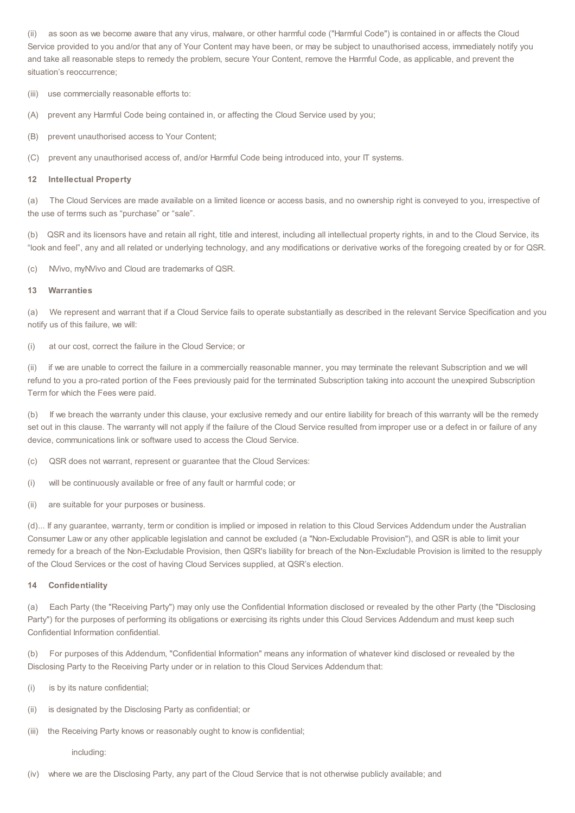(ii) as soon as we become aware that any virus, malware, or other harmful code ("Harmful Code") is contained in or affects the Cloud Service provided to you and/or that any of Your Content may have been, or may be subject to unauthorised access, immediately notify you and take all reasonable steps to remedy the problem, secure Your Content, remove the Harmful Code, as applicable, and prevent the situation's reoccurrence;

(iii) use commercially reasonable efforts to:

(A) prevent any Harmful Code being contained in, or affecting the Cloud Service used by you;

(B) prevent unauthorised access to Your Content;

(C) prevent any unauthorised access of, and/or Harmful Code being introduced into, your IT systems.

#### **12 Intellectual Property**

(a) The Cloud Services are made available on a limited licence or access basis, and no ownership right is conveyed to you, irrespective of the use of terms such as "purchase" or "sale".

(b) QSR and its licensors have and retain all right, title and interest, including all intellectual property rights, in and to the Cloud Service, its "look and feel", any and all related or underlying technology, and any modifications or derivative works of the foregoing created by or for QSR.

(c) NVivo, myNVivo and Cloud are trademarks of QSR.

#### **13 Warranties**

(a) We represent and warrant that if a Cloud Service fails to operate substantially as described in the relevant Service Specification and you notify us of this failure, we will:

(i) at our cost, correct the failure in the Cloud Service; or

if we are unable to correct the failure in a commercially reasonable manner, you may terminate the relevant Subscription and we will refund to you a pro-rated portion of the Fees previously paid for the terminated Subscription taking into account the unexpired Subscription Term for which the Fees were paid.

(b) If we breach the warranty under this clause, your exclusive remedy and our entire liability for breach of this warranty will be the remedy set out in this clause. The warranty will not apply if the failure of the Cloud Service resulted from improper use or a defect in or failure of any device, communications link or software used to access the Cloud Service.

(c) QSR does not warrant, represent or guarantee that the Cloud Services:

(i) will be continuously available or free of any fault or harmful code; or

(ii) are suitable for your purposes or business.

(d)... If any guarantee, warranty, term or condition is implied or imposed in relation to this Cloud Services Addendum under the Australian Consumer Law or any other applicable legislation and cannot be excluded (a "Non-Excludable Provision"), and QSR is able to limit your remedy for a breach of the Non-Excludable Provision, then QSR's liability for breach of the Non-Excludable Provision is limited to the resupply of the Cloud Services or the cost of having Cloud Services supplied, at QSR's election.

#### **14 Confidentiality**

(a) Each Party (the "Receiving Party") may only use the Confidential Information disclosed or revealed by the other Party (the "Disclosing Party") for the purposes of performing its obligations or exercising its rights under this Cloud Services Addendum and must keep such Confidential Information confidential.

(b) For purposes of this Addendum, "Confidential Information" means any information of whatever kind disclosed or revealed by the Disclosing Party to the Receiving Party under or in relation to this Cloud Services Addendum that:

- (i) is by its nature confidential;
- (ii) is designated by the Disclosing Party as confidential; or
- (iii) the Receiving Party knows or reasonably ought to know is confidential;

including:

(iv) where we are the Disclosing Party, any part of the Cloud Service that is not otherwise publicly available; and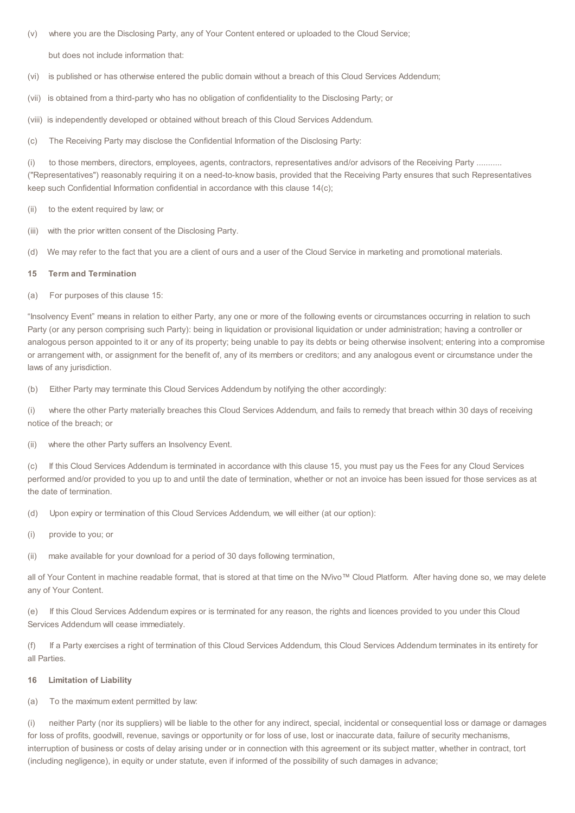- (v) where you are the Disclosing Party, any of Your Content entered or uploaded to the Cloud Service; but does not include information that:
- (vi) is published or has otherwise entered the public domain without a breach of this Cloud Services Addendum;
- (vii) is obtained from a third-party who has no obligation of confidentiality to the Disclosing Party; or
- (viii) is independently developed or obtained without breach of this Cloud Services Addendum.
- (c) The Receiving Party may disclose the Confidential Information of the Disclosing Party:

(i) to those members, directors, employees, agents, contractors, representatives and/or advisors of the Receiving Party .......... ("Representatives") reasonably requiring it on a need-to-know basis, provided that the Receiving Party ensures that such Representatives keep such Confidential Information confidential in accordance with this clause 14(c);

- (ii) to the extent required by law; or
- (iii) with the prior written consent of the Disclosing Party.
- (d) We may refer to the fact that you are a client of ours and a user of the Cloud Service in marketing and promotional materials.

#### **15 Term and Termination**

(a) For purposes of this clause 15:

"Insolvency Event" means in relation to either Party, any one or more of the following events or circumstances occurring in relation to such Party (or any person comprising such Party): being in liquidation or provisional liquidation or under administration; having a controller or analogous person appointed to it or any of its property; being unable to pay its debts or being otherwise insolvent; entering into a compromise or arrangement with, or assignment for the benefit of, any of its members or creditors; and any analogous event or circumstance under the laws of any jurisdiction.

(b) Either Party may terminate this Cloud Services Addendum by notifying the other accordingly:

(i) where the other Party materially breaches this Cloud Services Addendum, and fails to remedy that breach within 30 days of receiving notice of the breach; or

(ii) where the other Party suffers an Insolvency Event.

(c) If this Cloud Services Addendum is terminated in accordance with this clause 15, you must pay us the Fees for any Cloud Services performed and/or provided to you up to and until the date of termination, whether or not an invoice has been issued for those services as at the date of termination.

(d) Upon expiry or termination of this Cloud Services Addendum, we will either (at our option):

(i) provide to you; or

(ii) make available for your download for a period of 30 days following termination,

all of Your Content in machine readable format, that is stored at that time on the NVivo™ Cloud Platform. After having done so, we may delete any of Your Content.

If this Cloud Services Addendum expires or is terminated for any reason, the rights and licences provided to you under this Cloud Services Addendum will cease immediately.

(f) If a Party exercises a right of termination of this Cloud Services Addendum, this Cloud Services Addendum terminates in its entirety for all Parties.

#### **16 Limitation of Liability**

(a) To the maximum extent permitted by law:

(i) neither Party (nor its suppliers) will be liable to the other for any indirect, special, incidental or consequential loss or damage or damages for loss of profits, goodwill, revenue, savings or opportunity or for loss of use, lost or inaccurate data, failure of security mechanisms, interruption of business or costs of delay arising under or in connection with this agreement or its subject matter, whether in contract, tort (including negligence), in equity or under statute, even if informed of the possibility of such damages in advance;